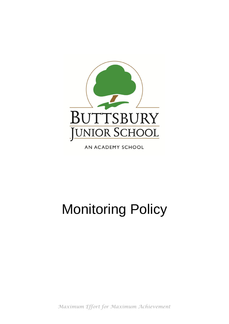

AN ACADEMY SCHOOL

# Monitoring Policy

*Maximum Effort for Maximum Achievement*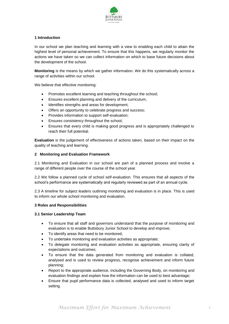

## **1 Introduction**

In our school we plan teaching and learning with a view to enabling each child to attain the highest level of personal achievement. To ensure that this happens, we regularly monitor the actions we have taken so we can collect information on which to base future decisions about the development of the school.

**Monitoring** is the means by which we gather information. We do this systematically across a range of activities within our school.

We believe that effective monitoring:

- Promotes excellent learning and teaching throughout the school;
- Ensures excellent planning and delivery of the curriculum;
- Identifies strengths and areas for development;
- Offers an opportunity to celebrate progress and success;
- Provides information to support self-evaluation;
- Ensures consistency throughout the school;
- Ensures that every child is making good progress and is appropriately challenged to reach their full potential.

**Evaluation** is the judgement of effectiveness of actions taken, based on their impact on the quality of teaching and learning.

#### **2 Monitoring and Evaluation Framework**

2.1 Monitoring and Evaluation in our school are part of a planned process and involve a range of different people over the course of the school year.

2.2 We follow a planned cycle of school self-evaluation. This ensures that all aspects of the school's performance are systematically and regularly reviewed as part of an annual cycle.

2.3 A timeline for subject leaders outlining monitoring and evaluation is in place. This is used to inform our whole school monitoring and evaluation.

#### **3 Roles and Responsibilities**

#### **3.1 Senior Leadership Team**

- To ensure that all staff and governors understand that the purpose of monitoring and evaluation is to enable Buttsbury Junior School to develop and improve;
- To identify areas that need to be monitored;
- To undertake monitoring and evaluation activities as appropriate;
- To delegate monitoring and evaluation activities as appropriate, ensuring clarity of expectations and outcomes;
- To ensure that the data generated from monitoring and evaluation is collated, analysed and is used to review progress, recognise achievement and inform future planning;
- Report to the appropriate audience, including the Governing Body, on monitoring and evaluation findings and explain how the information can be used to best advantage;
- Ensure that pupil performance data is collected, analysed and used to inform target setting.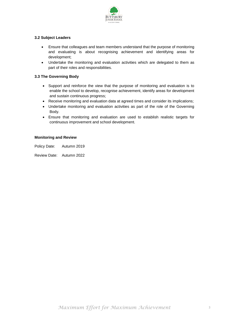

# **3.2 Subject Leaders**

- Ensure that colleagues and team members understand that the purpose of monitoring and evaluating is about recognising achievement and identifying areas for development;
- Undertake the monitoring and evaluation activities which are delegated to them as part of their roles and responsibilities.

# **3.3 The Governing Body**

- Support and reinforce the view that the purpose of monitoring and evaluation is to enable the school to develop, recognise achievement, identify areas for development and sustain continuous progress;
- Receive monitoring and evaluation data at agreed times and consider its implications;
- Undertake monitoring and evaluation activities as part of the role of the Governing Body.
- Ensure that monitoring and evaluation are used to establish realistic targets for continuous improvement and school development.

#### **Monitoring and Review**

Policy Date: Autumn 2019

Review Date: Autumn 2022